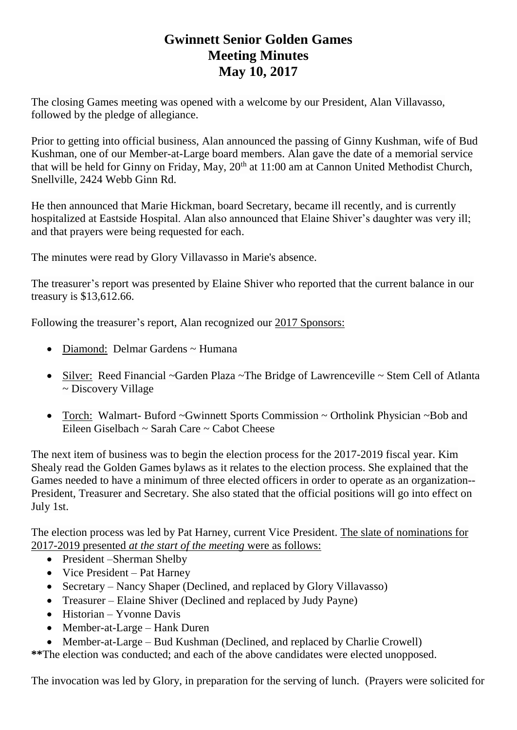## **Gwinnett Senior Golden Games Meeting Minutes May 10, 2017**

The closing Games meeting was opened with a welcome by our President, Alan Villavasso, followed by the pledge of allegiance.

Prior to getting into official business, Alan announced the passing of Ginny Kushman, wife of Bud Kushman, one of our Member-at-Large board members. Alan gave the date of a memorial service that will be held for Ginny on Friday, May,  $20<sup>th</sup>$  at 11:00 am at Cannon United Methodist Church, Snellville, 2424 Webb Ginn Rd.

He then announced that Marie Hickman, board Secretary, became ill recently, and is currently hospitalized at Eastside Hospital. Alan also announced that Elaine Shiver's daughter was very ill; and that prayers were being requested for each.

The minutes were read by Glory Villavasso in Marie's absence.

The treasurer's report was presented by Elaine Shiver who reported that the current balance in our treasury is \$13,612.66.

Following the treasurer's report, Alan recognized our 2017 Sponsors:

- Diamond: Delmar Gardens ~ Humana
- Silver: Reed Financial ~Garden Plaza ~The Bridge of Lawrenceville ~ Stem Cell of Atlanta ~ Discovery Village
- Torch: Walmart- Buford ~Gwinnett Sports Commission ~ Ortholink Physician ~Bob and Eileen Giselbach ~ Sarah Care ~ Cabot Cheese

The next item of business was to begin the election process for the 2017-2019 fiscal year. Kim Shealy read the Golden Games bylaws as it relates to the election process. She explained that the Games needed to have a minimum of three elected officers in order to operate as an organization-- President, Treasurer and Secretary. She also stated that the official positions will go into effect on July 1st.

The election process was led by Pat Harney, current Vice President. The slate of nominations for 2017-2019 presented *at the start of the meeting* were as follows:

- President Sherman Shelby
- Vice President Pat Harney
- Secretary Nancy Shaper (Declined, and replaced by Glory Villavasso)
- Treasurer Elaine Shiver (Declined and replaced by Judy Payne)
- Historian Yvonne Davis
- Member-at-Large Hank Duren
- Member-at-Large Bud Kushman (Declined, and replaced by Charlie Crowell)

**\*\***The election was conducted; and each of the above candidates were elected unopposed.

The invocation was led by Glory, in preparation for the serving of lunch. (Prayers were solicited for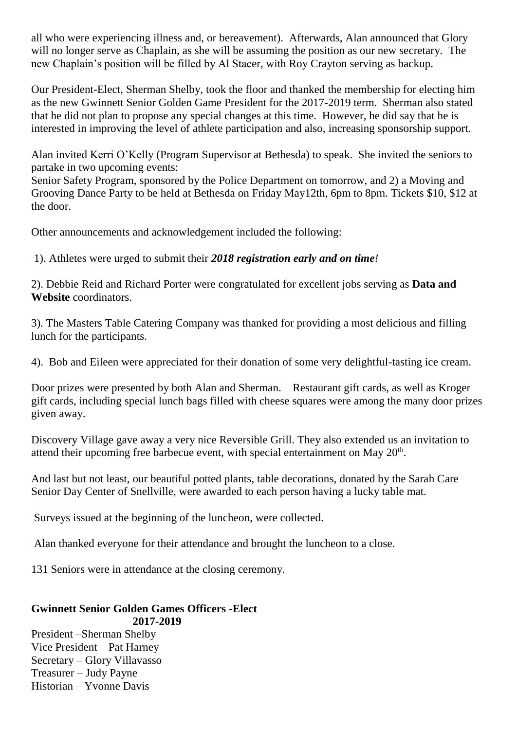all who were experiencing illness and, or bereavement). Afterwards, Alan announced that Glory will no longer serve as Chaplain, as she will be assuming the position as our new secretary. The new Chaplain's position will be filled by Al Stacer, with Roy Crayton serving as backup.

Our President-Elect, Sherman Shelby, took the floor and thanked the membership for electing him as the new Gwinnett Senior Golden Game President for the 2017-2019 term. Sherman also stated that he did not plan to propose any special changes at this time. However, he did say that he is interested in improving the level of athlete participation and also, increasing sponsorship support.

Alan invited Kerri O'Kelly (Program Supervisor at Bethesda) to speak. She invited the seniors to partake in two upcoming events:

Senior Safety Program, sponsored by the Police Department on tomorrow, and 2) a Moving and Grooving Dance Party to be held at Bethesda on Friday May12th, 6pm to 8pm. Tickets \$10, \$12 at the door.

Other announcements and acknowledgement included the following:

1). Athletes were urged to submit their *2018 registration early and on time!*

2). Debbie Reid and Richard Porter were congratulated for excellent jobs serving as **Data and Website** coordinators.

3). The Masters Table Catering Company was thanked for providing a most delicious and filling lunch for the participants.

4). Bob and Eileen were appreciated for their donation of some very delightful-tasting ice cream.

Door prizes were presented by both Alan and Sherman. Restaurant gift cards, as well as Kroger gift cards, including special lunch bags filled with cheese squares were among the many door prizes given away.

Discovery Village gave away a very nice Reversible Grill. They also extended us an invitation to attend their upcoming free barbecue event, with special entertainment on May  $20<sup>th</sup>$ .

And last but not least, our beautiful potted plants, table decorations, donated by the Sarah Care Senior Day Center of Snellville, were awarded to each person having a lucky table mat.

Surveys issued at the beginning of the luncheon, were collected.

Alan thanked everyone for their attendance and brought the luncheon to a close.

131 Seniors were in attendance at the closing ceremony.

## **Gwinnett Senior Golden Games Officers -Elect 2017-2019**

President –Sherman Shelby Vice President – Pat Harney Secretary – Glory Villavasso Treasurer – Judy Payne Historian – Yvonne Davis